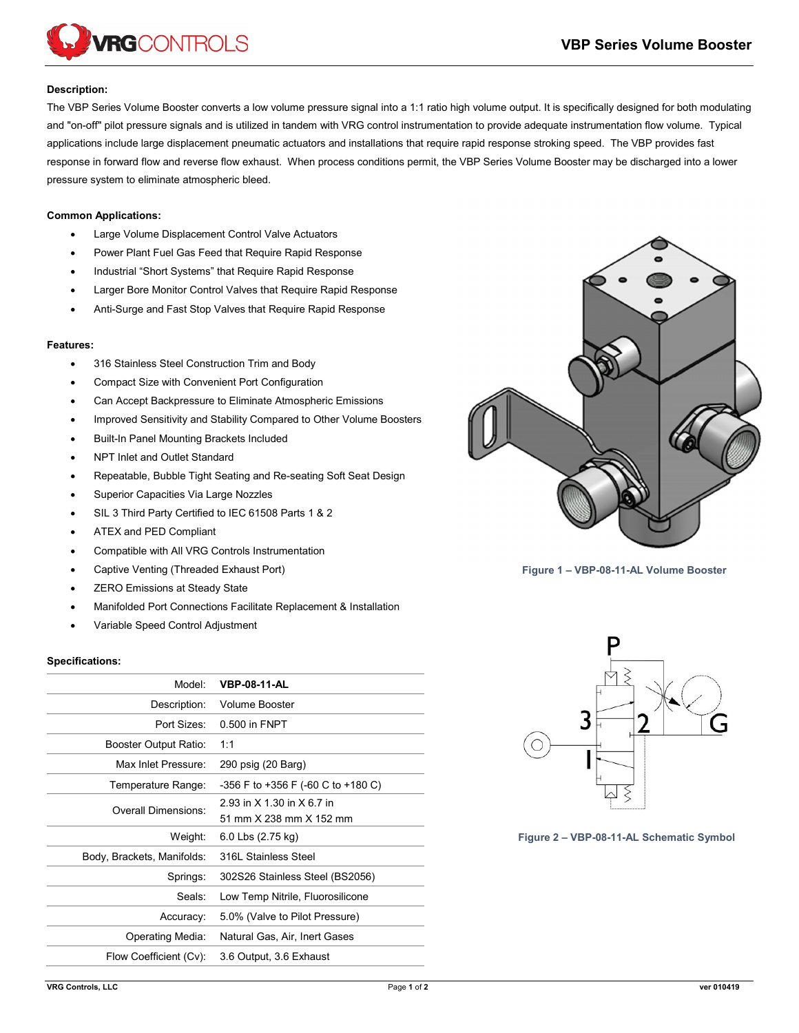

## **Description:**

The VBP Series Volume Booster converts a low volume pressure signal into a 1:1 ratio high volume output. It is specifically designed for both modulating and "on-off" pilot pressure signals and is utilized in tandem with VRG control instrumentation to provide adequate instrumentation flow volume. Typical applications include large displacement pneumatic actuators and installations that require rapid response stroking speed. The VBP provides fast response in forward flow and reverse flow exhaust. When process conditions permit, the VBP Series Volume Booster may be discharged into a lower pressure system to eliminate atmospheric bleed.

## **Common Applications:**

- Large Volume Displacement Control Valve Actuators
- Power Plant Fuel Gas Feed that Require Rapid Response
- Industrial "Short Systems" that Require Rapid Response
- Larger Bore Monitor Control Valves that Require Rapid Response
- Anti-Surge and Fast Stop Valves that Require Rapid Response

## **Features:**

- 316 Stainless Steel Construction Trim and Body
- Compact Size with Convenient Port Configuration
- Can Accept Backpressure to Eliminate Atmospheric Emissions
- Improved Sensitivity and Stability Compared to Other Volume Boosters
- Built-In Panel Mounting Brackets Included
- NPT Inlet and Outlet Standard
- Repeatable, Bubble Tight Seating and Re-seating Soft Seat Design
- Superior Capacities Via Large Nozzles
- SIL 3 Third Party Certified to IEC 61508 Parts 1 & 2
- ATEX and PED Compliant
- Compatible with All VRG Controls Instrumentation
- Captive Venting (Threaded Exhaust Port)
- ZERO Emissions at Steady State
- Manifolded Port Connections Facilitate Replacement & Installation
- Variable Speed Control Adjustment

## **Specifications:**

| Model:                     | <b>VBP-08-11-AL</b>                |
|----------------------------|------------------------------------|
| Description:               | Volume Booster                     |
| Port Sizes:                | 0.500 in FNPT                      |
| Booster Output Ratio:      | 1:1                                |
| Max Inlet Pressure:        | 290 psig (20 Barg)                 |
| Temperature Range:         | -356 F to +356 F (-60 C to +180 C) |
| Overall Dimensions:        | 2.93 in X 1.30 in X 6.7 in         |
|                            | 51 mm X 238 mm X 152 mm            |
| Weight:                    | 6.0 Lbs (2.75 kg)                  |
| Body, Brackets, Manifolds: | 316L Stainless Steel               |
| Springs:                   | 302S26 Stainless Steel (BS2056)    |
| Seals:                     | Low Temp Nitrile, Fluorosilicone   |
| Accuracy:                  | 5.0% (Valve to Pilot Pressure)     |
| Operating Media:           | Natural Gas, Air, Inert Gases      |
| Flow Coefficient (Cv):     | 3.6 Output, 3.6 Exhaust            |
|                            |                                    |



**Figure 1 – VBP-08-11-AL Volume Booster**